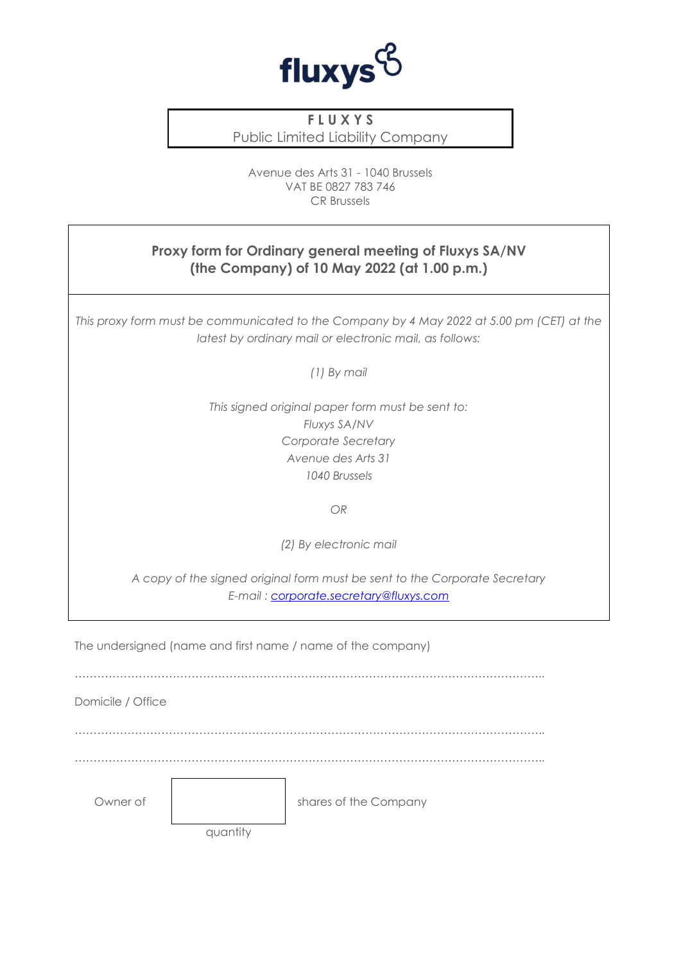

## **F L U X Y S**

Public Limited Liability Company

Avenue des Arts 31 - 1040 Brussels VAT BE 0827 783 746 CR Brussels

## **Proxy form for Ordinary general meeting of Fluxys SA/NV (the Company) of 10 May 2022 (at 1.00 p.m.)**

*This proxy form must be communicated to the Company by 4 May 2022 at 5.00 pm (CET) at the latest by ordinary mail or electronic mail, as follows:*

*(1) By mail*

*This signed original paper form must be sent to: Fluxys SA/NV Corporate Secretary Avenue des Arts 31 1040 Brussels*

*OR*

*(2) By electronic mail*

*A copy of the signed original form must be sent to the Corporate Secretary E-mail : [corporate.secretary@fluxys.com](mailto:corporate.secretary@fluxys.com)*

The undersigned (name and first name / name of the company)

Domicile / Office

……………………………………………………………………………………………………………..

Owner of  $\qquad \qquad$  shares of the Company

quantity